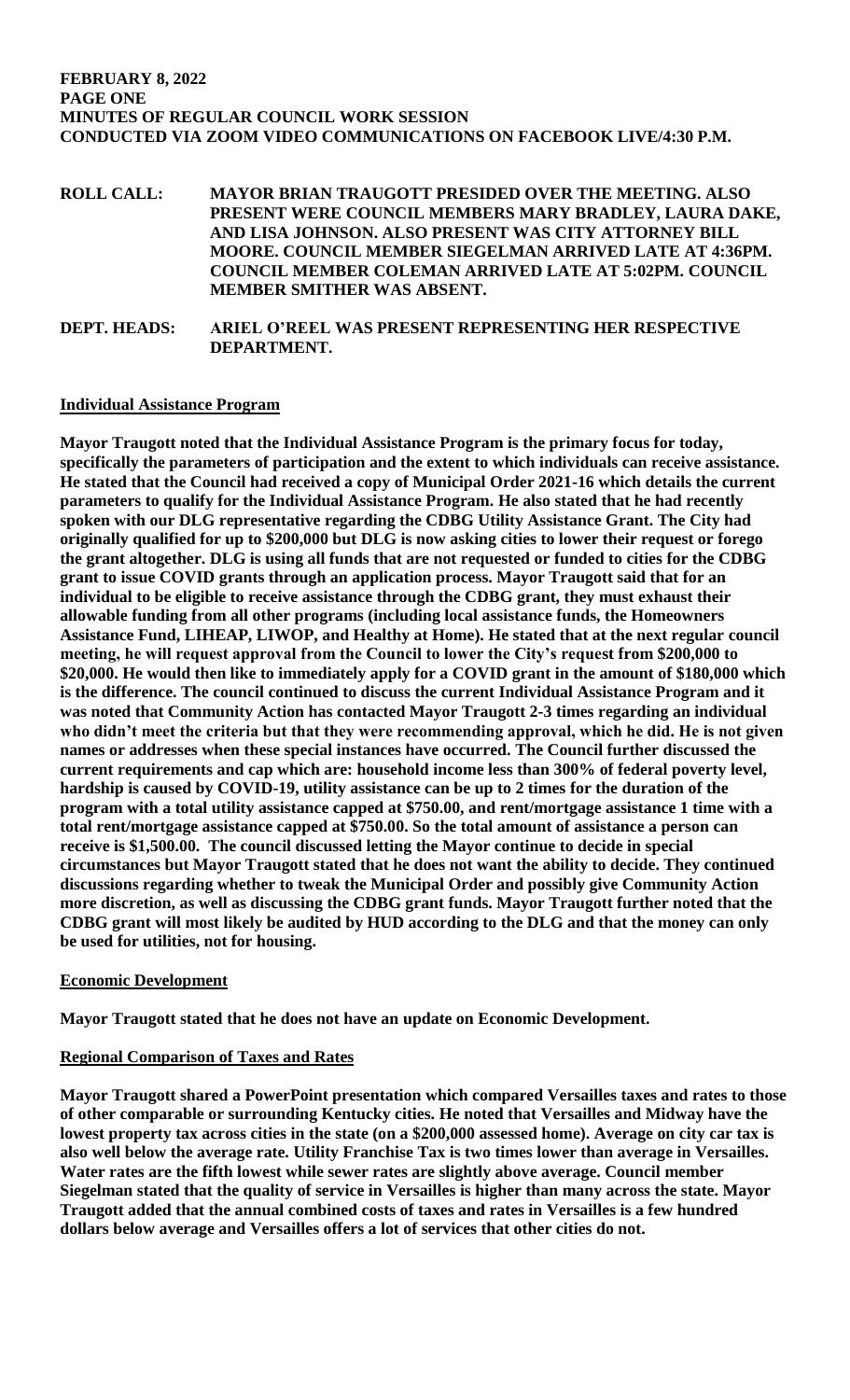**ROLL CALL: MAYOR BRIAN TRAUGOTT PRESIDED OVER THE MEETING. ALSO PRESENT WERE COUNCIL MEMBERS MARY BRADLEY, LAURA DAKE, AND LISA JOHNSON. ALSO PRESENT WAS CITY ATTORNEY BILL MOORE. COUNCIL MEMBER SIEGELMAN ARRIVED LATE AT 4:36PM. COUNCIL MEMBER COLEMAN ARRIVED LATE AT 5:02PM. COUNCIL MEMBER SMITHER WAS ABSENT.** 

**DEPT. HEADS: ARIEL O'REEL WAS PRESENT REPRESENTING HER RESPECTIVE DEPARTMENT.** 

## **Individual Assistance Program**

**Mayor Traugott noted that the Individual Assistance Program is the primary focus for today, specifically the parameters of participation and the extent to which individuals can receive assistance. He stated that the Council had received a copy of Municipal Order 2021-16 which details the current parameters to qualify for the Individual Assistance Program. He also stated that he had recently spoken with our DLG representative regarding the CDBG Utility Assistance Grant. The City had originally qualified for up to \$200,000 but DLG is now asking cities to lower their request or forego the grant altogether. DLG is using all funds that are not requested or funded to cities for the CDBG grant to issue COVID grants through an application process. Mayor Traugott said that for an individual to be eligible to receive assistance through the CDBG grant, they must exhaust their allowable funding from all other programs (including local assistance funds, the Homeowners Assistance Fund, LIHEAP, LIWOP, and Healthy at Home). He stated that at the next regular council meeting, he will request approval from the Council to lower the City's request from \$200,000 to \$20,000. He would then like to immediately apply for a COVID grant in the amount of \$180,000 which is the difference. The council continued to discuss the current Individual Assistance Program and it was noted that Community Action has contacted Mayor Traugott 2-3 times regarding an individual who didn't meet the criteria but that they were recommending approval, which he did. He is not given names or addresses when these special instances have occurred. The Council further discussed the current requirements and cap which are: household income less than 300% of federal poverty level, hardship is caused by COVID-19, utility assistance can be up to 2 times for the duration of the program with a total utility assistance capped at \$750.00, and rent/mortgage assistance 1 time with a total rent/mortgage assistance capped at \$750.00. So the total amount of assistance a person can receive is \$1,500.00. The council discussed letting the Mayor continue to decide in special circumstances but Mayor Traugott stated that he does not want the ability to decide. They continued discussions regarding whether to tweak the Municipal Order and possibly give Community Action more discretion, as well as discussing the CDBG grant funds. Mayor Traugott further noted that the CDBG grant will most likely be audited by HUD according to the DLG and that the money can only be used for utilities, not for housing.** 

# **Economic Development**

**Mayor Traugott stated that he does not have an update on Economic Development.**

## **Regional Comparison of Taxes and Rates**

**Mayor Traugott shared a PowerPoint presentation which compared Versailles taxes and rates to those of other comparable or surrounding Kentucky cities. He noted that Versailles and Midway have the lowest property tax across cities in the state (on a \$200,000 assessed home). Average on city car tax is also well below the average rate. Utility Franchise Tax is two times lower than average in Versailles. Water rates are the fifth lowest while sewer rates are slightly above average. Council member Siegelman stated that the quality of service in Versailles is higher than many across the state. Mayor Traugott added that the annual combined costs of taxes and rates in Versailles is a few hundred dollars below average and Versailles offers a lot of services that other cities do not.**